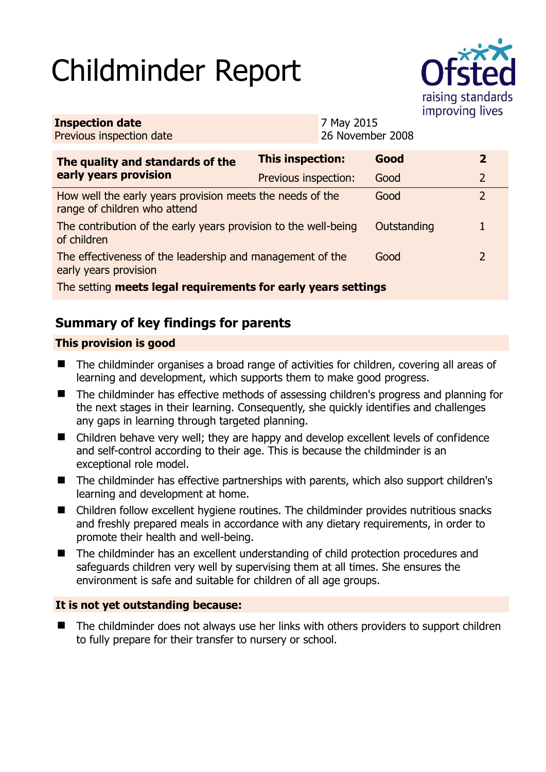# Childminder Report



| <b>Inspection date</b><br>Previous inspection date                                        |                      | 7 May 2015<br>26 November 2008 |             |  |                |  |
|-------------------------------------------------------------------------------------------|----------------------|--------------------------------|-------------|--|----------------|--|
| The quality and standards of the<br>early years provision                                 | This inspection:     |                                | Good        |  | $\overline{2}$ |  |
|                                                                                           | Previous inspection: |                                | Good        |  | $\overline{2}$ |  |
| How well the early years provision meets the needs of the<br>range of children who attend |                      |                                | Good        |  | $\overline{2}$ |  |
| The contribution of the early years provision to the well-being<br>of children            |                      |                                | Outstanding |  | 1              |  |
| The effectiveness of the leadership and management of the<br>early years provision        |                      |                                | Good        |  | $\overline{2}$ |  |
| The setting meets legal requirements for early years settings                             |                      |                                |             |  |                |  |

# **Summary of key findings for parents**

## **This provision is good**

- The childminder organises a broad range of activities for children, covering all areas of learning and development, which supports them to make good progress.
- The childminder has effective methods of assessing children's progress and planning for the next stages in their learning. Consequently, she quickly identifies and challenges any gaps in learning through targeted planning.
- Children behave very well; they are happy and develop excellent levels of confidence and self-control according to their age. This is because the childminder is an exceptional role model.
- The childminder has effective partnerships with parents, which also support children's learning and development at home.
- Children follow excellent hygiene routines. The childminder provides nutritious snacks and freshly prepared meals in accordance with any dietary requirements, in order to promote their health and well-being.
- The childminder has an excellent understanding of child protection procedures and safeguards children very well by supervising them at all times. She ensures the environment is safe and suitable for children of all age groups.

### **It is not yet outstanding because:**

 The childminder does not always use her links with others providers to support children to fully prepare for their transfer to nursery or school.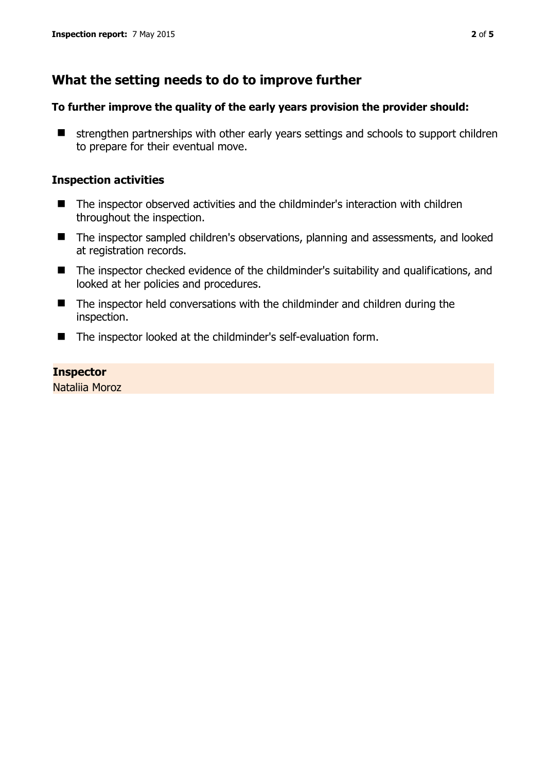# **What the setting needs to do to improve further**

#### **To further improve the quality of the early years provision the provider should:**

 $\blacksquare$  strengthen partnerships with other early years settings and schools to support children to prepare for their eventual move.

#### **Inspection activities**

- The inspector observed activities and the childminder's interaction with children throughout the inspection.
- The inspector sampled children's observations, planning and assessments, and looked at registration records.
- The inspector checked evidence of the childminder's suitability and qualifications, and looked at her policies and procedures.
- The inspector held conversations with the childminder and children during the inspection.
- The inspector looked at the childminder's self-evaluation form.

#### **Inspector**

Nataliia Moroz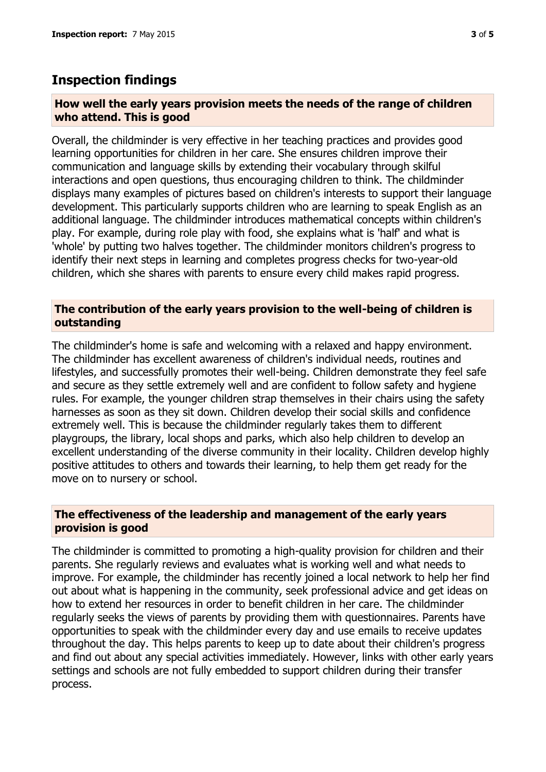## **Inspection findings**

#### **How well the early years provision meets the needs of the range of children who attend. This is good**

Overall, the childminder is very effective in her teaching practices and provides good learning opportunities for children in her care. She ensures children improve their communication and language skills by extending their vocabulary through skilful interactions and open questions, thus encouraging children to think. The childminder displays many examples of pictures based on children's interests to support their language development. This particularly supports children who are learning to speak English as an additional language. The childminder introduces mathematical concepts within children's play. For example, during role play with food, she explains what is 'half' and what is 'whole' by putting two halves together. The childminder monitors children's progress to identify their next steps in learning and completes progress checks for two-year-old children, which she shares with parents to ensure every child makes rapid progress.

#### **The contribution of the early years provision to the well-being of children is outstanding**

The childminder's home is safe and welcoming with a relaxed and happy environment. The childminder has excellent awareness of children's individual needs, routines and lifestyles, and successfully promotes their well-being. Children demonstrate they feel safe and secure as they settle extremely well and are confident to follow safety and hygiene rules. For example, the younger children strap themselves in their chairs using the safety harnesses as soon as they sit down. Children develop their social skills and confidence extremely well. This is because the childminder regularly takes them to different playgroups, the library, local shops and parks, which also help children to develop an excellent understanding of the diverse community in their locality. Children develop highly positive attitudes to others and towards their learning, to help them get ready for the move on to nursery or school.

#### **The effectiveness of the leadership and management of the early years provision is good**

The childminder is committed to promoting a high-quality provision for children and their parents. She regularly reviews and evaluates what is working well and what needs to improve. For example, the childminder has recently joined a local network to help her find out about what is happening in the community, seek professional advice and get ideas on how to extend her resources in order to benefit children in her care. The childminder regularly seeks the views of parents by providing them with questionnaires. Parents have opportunities to speak with the childminder every day and use emails to receive updates throughout the day. This helps parents to keep up to date about their children's progress and find out about any special activities immediately. However, links with other early years settings and schools are not fully embedded to support children during their transfer process.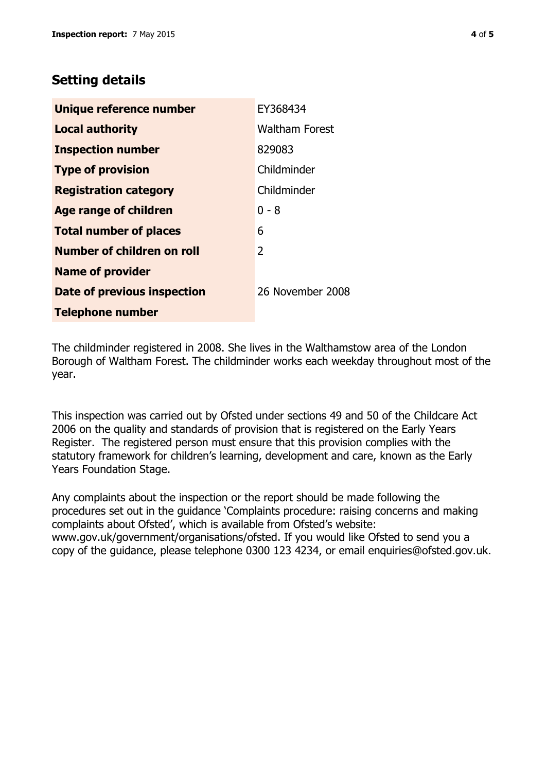# **Setting details**

| Unique reference number       | EY368434              |
|-------------------------------|-----------------------|
| <b>Local authority</b>        | <b>Waltham Forest</b> |
| <b>Inspection number</b>      | 829083                |
| <b>Type of provision</b>      | Childminder           |
| <b>Registration category</b>  | Childminder           |
| <b>Age range of children</b>  | $0 - 8$               |
| <b>Total number of places</b> | 6                     |
| Number of children on roll    | 2                     |
| <b>Name of provider</b>       |                       |
| Date of previous inspection   | 26 November 2008      |
| <b>Telephone number</b>       |                       |

The childminder registered in 2008. She lives in the Walthamstow area of the London Borough of Waltham Forest. The childminder works each weekday throughout most of the year.

This inspection was carried out by Ofsted under sections 49 and 50 of the Childcare Act 2006 on the quality and standards of provision that is registered on the Early Years Register. The registered person must ensure that this provision complies with the statutory framework for children's learning, development and care, known as the Early Years Foundation Stage.

Any complaints about the inspection or the report should be made following the procedures set out in the guidance 'Complaints procedure: raising concerns and making complaints about Ofsted', which is available from Ofsted's website: www.gov.uk/government/organisations/ofsted. If you would like Ofsted to send you a copy of the guidance, please telephone 0300 123 4234, or email enquiries@ofsted.gov.uk.